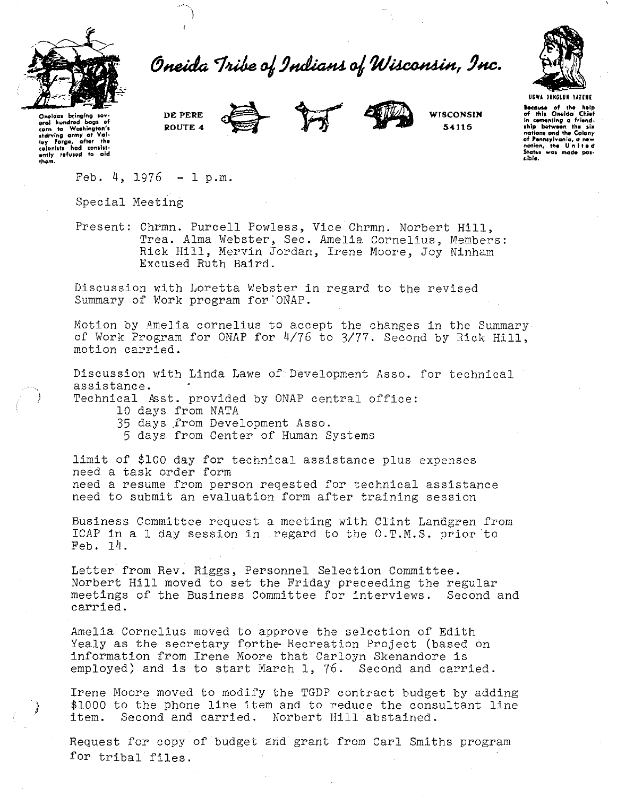

Oneida Tribe of Indians of Wisconsin, Inc.



**Statot was mode pos- liblo.** 

**Oneldal btin;lng IOV· oral** h~o~ndrod **bags of corn to Wa1hington't starving army at VGI· toy forge, aftor tho colonllts hod conlltl· ontly refuted to old thom.** 

J



**WISCONSIN 54115** 

**Because** of the help of this Oneida<sup>-</sup> Chief in cementing a friend-<br>ship between the six lhl~t **betw"n tho 1i11 notiont and tho Colony of Pennsylvania, a now notion, !'h. <sup>U</sup>n I t 11 <sup>d</sup>**

 $Feb. 4, 1976 - I p.m.$ 

**DE PERE ROUTE 4** 

Special Meeting

Present: Chrmn. Purcell Powless, Vice Chrmn. Norbert Hill, Trea. Alma Webster, Sec. Amelia Cornelius, Members: Rick Hill, Mervin Jordan, Irene Moore, Joy Ninham Excused Ruth Baird.

Discussion with Loretta Webster in regard to the revised Summary of Work program for ONAP.

Motion by Amelia cornelius to accept the changes in the Summary of Work Program for ONAP for 4/76 to *3177.* Second by Rick Hill, motion carried.

Discussion with Linda Lawe of Development Asso. for technical assistance.

Technical Asst. provided by ONAP central office:

- 10 days from NATA
- 35 days .from Development Asso.
	- 5 days from Center of Human Systems

limit of \$100 day for technical assistance plus expenses need a task order form need a resume from person reqested for technical assistance need to submit an evaluation form after training session

Business Committee request a meeting with Clint Landgren from ICAP in a 1 day session in regard to the O.T.M.S. prior to Feb. 14.

Letter from Rev. Riggs, Personnel Selection Committee. Norbert Hill moved to set the Friday preceeding the regular meetings of the Business Committee for interviews. Second and carried.

Amelia Cornelius moved to approve the selection of Edith Yealy as the secretary forthe Recreation Project (based on information from Irene Moore that Carloyn Skenandore is employed) and is to start March l, 76. Second and carried.

Irene Moore moved to modify the TGDP contract budget by adding \$1000 to the phone line item and to reduce the consultant line item. Second and carried. Norbert Hill abstained.

Request for copy of budget and grant from Carl Smiths program for tribal files.